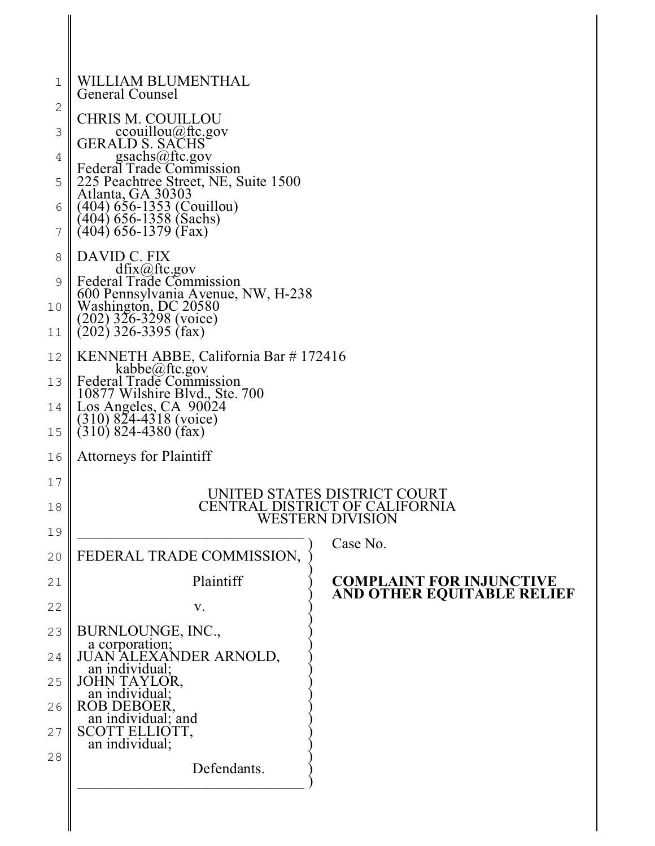| 1             | WILLIAM BLUMENTHAL<br>General Counsel                                 |                                                    |
|---------------|-----------------------------------------------------------------------|----------------------------------------------------|
| $\mathbf{2}$  | <b>CHRIS M. COUILLOU</b>                                              |                                                    |
| 3             | couillou@ftc.gov<br>GERALD S. SACHS                                   |                                                    |
| 4             | gsachs@ftc.gov<br>Federal Trade Commission                            |                                                    |
| 5             | 225 Peachtree Street, NE, Suite 1500                                  |                                                    |
| 6             | Atlanta, GA 30303<br>$(404)$ 656-1353 (Couillou)                      |                                                    |
| 7             | (404) 656-1358 (Sachs)<br>(404) 656-1379 (Fax)                        |                                                    |
| 8             | DAVID C. FIX                                                          |                                                    |
| $\mathcal{G}$ | $dfix(\omega)$ ftc.gov<br>Federal Trade Commission                    |                                                    |
| 10            | 600 Pennsylvania Avenue, NW, H-238<br>Washington, DC 20580            |                                                    |
| 11            | $(202)$ 326-3298 (voice)<br>$(202)$ 326-3395 (fax)                    |                                                    |
| 12            | KENNETH ABBE, California Bar #172416                                  |                                                    |
| 13            | kabbe@ftc.gov<br>Federal Trade Commission                             |                                                    |
| 14            | 10877 Wilshire Blvd., Ste. 700<br>Los Angeles, CA 90024               |                                                    |
| 15            | $(310)$ 824-4318 (voice)<br>$(310)$ 824-4380 (fax)                    |                                                    |
|               |                                                                       |                                                    |
| 16            | <b>Attorneys for Plaintiff</b>                                        |                                                    |
| $17$          |                                                                       | UNITED STATES DISTRICT COURT                       |
| 18            |                                                                       | CENTRAL DISTRICT OF CALIFORNIA<br>WESTERN DIVISION |
| 19            |                                                                       | Case No.                                           |
| 20            | FEDERAL TRADE COMMISSION,                                             |                                                    |
| 21            | Plaintiff                                                             | <b>COMPLAINT FOR INJUNCTIVE</b>                    |
| 22            | V.                                                                    | AND OTHER EQUITABLE RELIEF                         |
| 23            | BURNLOUNGE, INC.,                                                     |                                                    |
| 24            | a corporation;<br>JUAN ALEXANDER ARNOLD,<br>an individual;            |                                                    |
| 25            | JOHN TAYLOR,                                                          |                                                    |
| 26            | an individual;                                                        |                                                    |
| 27            | ROB DEBOER,<br>an individual; and<br>SCOTT ELLIOTT,<br>an individual; |                                                    |
| 28            |                                                                       |                                                    |
|               | Defendants.                                                           |                                                    |
|               |                                                                       |                                                    |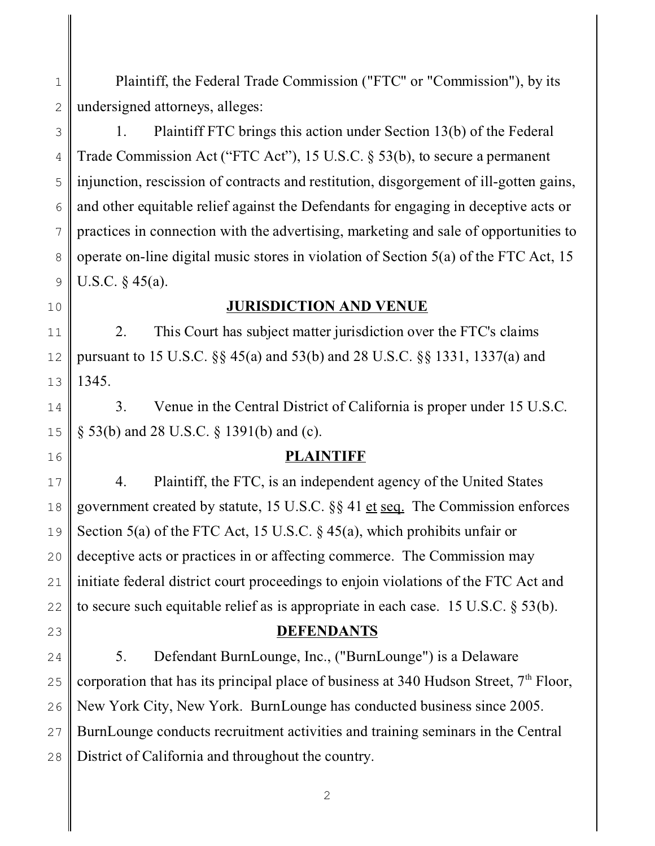2 3 4 5 6 7 8 9 10 11 12 13 14 15 16 17 18 19 20 21 22 23 24 25 26 27 28 undersigned attorneys, alleges: 1. Plaintiff FTC brings this action under Section 13(b) of the Federal Trade Commission Act ("FTC Act"), 15 U.S.C. § 53(b), to secure a permanent injunction, rescission of contracts and restitution, disgorgement of ill-gotten gains, and other equitable relief against the Defendants for engaging in deceptive acts or practices in connection with the advertising, marketing and sale of opportunities to operate on-line digital music stores in violation of Section 5(a) of the FTC Act, 15 U.S.C. § 45(a). **JURISDICTION AND VENUE** 2. This Court has subject matter jurisdiction over the FTC's claims pursuant to 15 U.S.C. §§ 45(a) and 53(b) and 28 U.S.C. §§ 1331, 1337(a) and 1345. 3. Venue in the Central District of California is proper under 15 U.S.C. § 53(b) and 28 U.S.C. § 1391(b) and (c). **PLAINTIFF** 4. Plaintiff, the FTC, is an independent agency of the United States government created by statute, 15 U.S.C. §§ 41 et seq. The Commission enforces Section 5(a) of the FTC Act, 15 U.S.C. § 45(a), which prohibits unfair or deceptive acts or practices in or affecting commerce. The Commission may initiate federal district court proceedings to enjoin violations of the FTC Act and to secure such equitable relief as is appropriate in each case. 15 U.S.C. § 53(b). **DEFENDANTS** 5. Defendant BurnLounge, Inc., ("BurnLounge") is a Delaware corporation that has its principal place of business at 340 Hudson Street,  $7<sup>th</sup>$  Floor, New York City, New York. BurnLounge has conducted business since 2005. BurnLounge conducts recruitment activities and training seminars in the Central District of California and throughout the country.

Plaintiff, the Federal Trade Commission ("FTC" or "Commission"), by its

1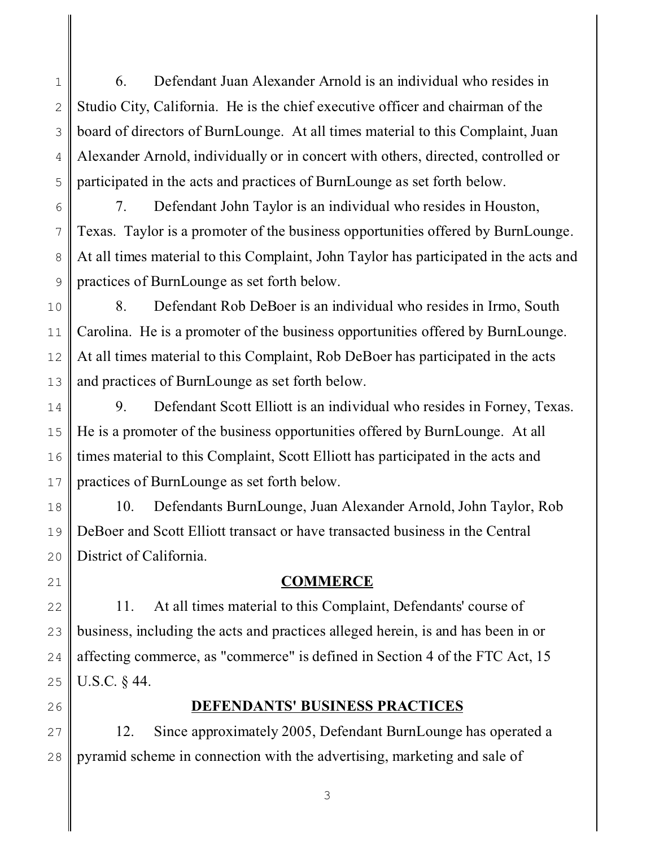1 2 3 4 5 6. Defendant Juan Alexander Arnold is an individual who resides in Studio City, California. He is the chief executive officer and chairman of the board of directors of BurnLounge. At all times material to this Complaint, Juan Alexander Arnold, individually or in concert with others, directed, controlled or participated in the acts and practices of BurnLounge as set forth below.

6 7 8 9 7. Defendant John Taylor is an individual who resides in Houston, Texas. Taylor is a promoter of the business opportunities offered by BurnLounge. At all times material to this Complaint, John Taylor has participated in the acts and practices of BurnLounge as set forth below.

10 11 12 13 8. Defendant Rob DeBoer is an individual who resides in Irmo, South Carolina. He is a promoter of the business opportunities offered by BurnLounge. At all times material to this Complaint, Rob DeBoer has participated in the acts and practices of BurnLounge as set forth below.

14 15 16 17 9. Defendant Scott Elliott is an individual who resides in Forney, Texas. He is a promoter of the business opportunities offered by BurnLounge. At all times material to this Complaint, Scott Elliott has participated in the acts and practices of BurnLounge as set forth below.

18 19 20 10. Defendants BurnLounge, Juan Alexander Arnold, John Taylor, Rob DeBoer and Scott Elliott transact or have transacted business in the Central District of California.

21

### **COMMERCE**

22 23 24 25 11. At all times material to this Complaint, Defendants' course of business, including the acts and practices alleged herein, is and has been in or affecting commerce, as "commerce" is defined in Section 4 of the FTC Act, 15 U.S.C. § 44.

26

# **DEFENDANTS' BUSINESS PRACTICES**

27 28 12. Since approximately 2005, Defendant BurnLounge has operated a pyramid scheme in connection with the advertising, marketing and sale of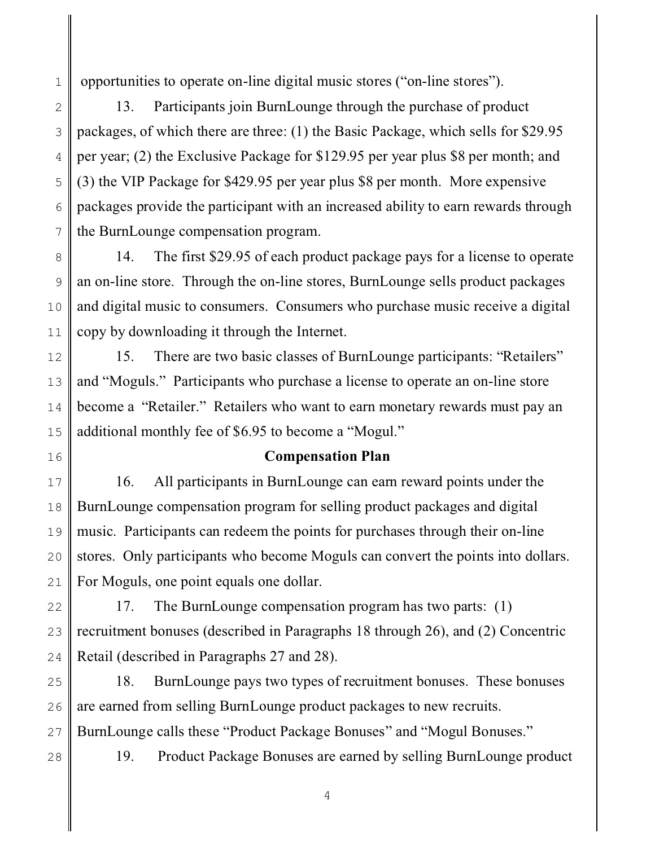1 opportunities to operate on-line digital music stores ("on-line stores").

2 3 4 5 6 7 13. Participants join BurnLounge through the purchase of product packages, of which there are three: (1) the Basic Package, which sells for \$29.95 per year; (2) the Exclusive Package for \$129.95 per year plus \$8 per month; and (3) the VIP Package for \$429.95 per year plus \$8 per month. More expensive packages provide the participant with an increased ability to earn rewards through the BurnLounge compensation program.

8 9 10 11 14. The first \$29.95 of each product package pays for a license to operate an on-line store. Through the on-line stores, BurnLounge sells product packages and digital music to consumers. Consumers who purchase music receive a digital copy by downloading it through the Internet.

12 13 14 15 15. There are two basic classes of BurnLounge participants: "Retailers" and "Moguls." Participants who purchase a license to operate an on-line store become a "Retailer." Retailers who want to earn monetary rewards must pay an additional monthly fee of \$6.95 to become a "Mogul."

16

#### **Compensation Plan**

17 18 19 20 21 16. All participants in BurnLounge can earn reward points under the BurnLounge compensation program for selling product packages and digital music. Participants can redeem the points for purchases through their on-line stores. Only participants who become Moguls can convert the points into dollars. For Moguls, one point equals one dollar.

22 23 24 17. The BurnLounge compensation program has two parts: (1) recruitment bonuses (described in Paragraphs 18 through 26), and (2) Concentric Retail (described in Paragraphs 27 and 28).

25 26 27 18. BurnLounge pays two types of recruitment bonuses. These bonuses are earned from selling BurnLounge product packages to new recruits. BurnLounge calls these "Product Package Bonuses" and "Mogul Bonuses."

28

19. Product Package Bonuses are earned by selling BurnLounge product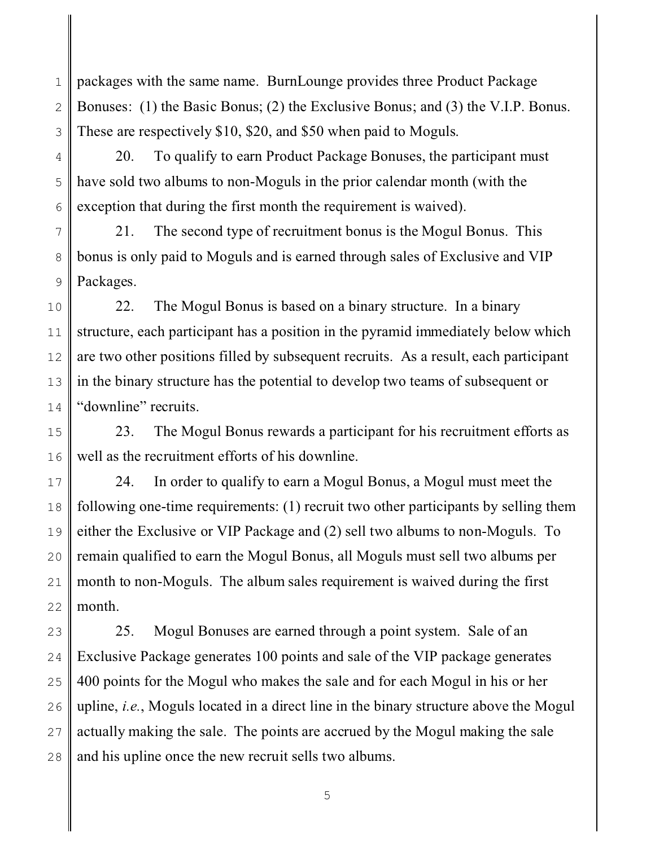1 2 3 packages with the same name. BurnLounge provides three Product Package Bonuses: (1) the Basic Bonus; (2) the Exclusive Bonus; and (3) the V.I.P. Bonus. These are respectively \$10, \$20, and \$50 when paid to Moguls.

4 5 6 20. To qualify to earn Product Package Bonuses, the participant must have sold two albums to non-Moguls in the prior calendar month (with the exception that during the first month the requirement is waived).

7 8 9 21. The second type of recruitment bonus is the Mogul Bonus. This bonus is only paid to Moguls and is earned through sales of Exclusive and VIP Packages.

10 11 12 13 14 22. The Mogul Bonus is based on a binary structure. In a binary structure, each participant has a position in the pyramid immediately below which are two other positions filled by subsequent recruits. As a result, each participant in the binary structure has the potential to develop two teams of subsequent or "downline" recruits.

15 16 23. The Mogul Bonus rewards a participant for his recruitment efforts as well as the recruitment efforts of his downline.

17 18 19 20 21 22 24. In order to qualify to earn a Mogul Bonus, a Mogul must meet the following one-time requirements: (1) recruit two other participants by selling them either the Exclusive or VIP Package and (2) sell two albums to non-Moguls. To remain qualified to earn the Mogul Bonus, all Moguls must sell two albums per month to non-Moguls. The album sales requirement is waived during the first month.

23 24 25 26 27 28 25. Mogul Bonuses are earned through a point system. Sale of an Exclusive Package generates 100 points and sale of the VIP package generates 400 points for the Mogul who makes the sale and for each Mogul in his or her upline, *i.e.*, Moguls located in a direct line in the binary structure above the Mogul actually making the sale. The points are accrued by the Mogul making the sale and his upline once the new recruit sells two albums.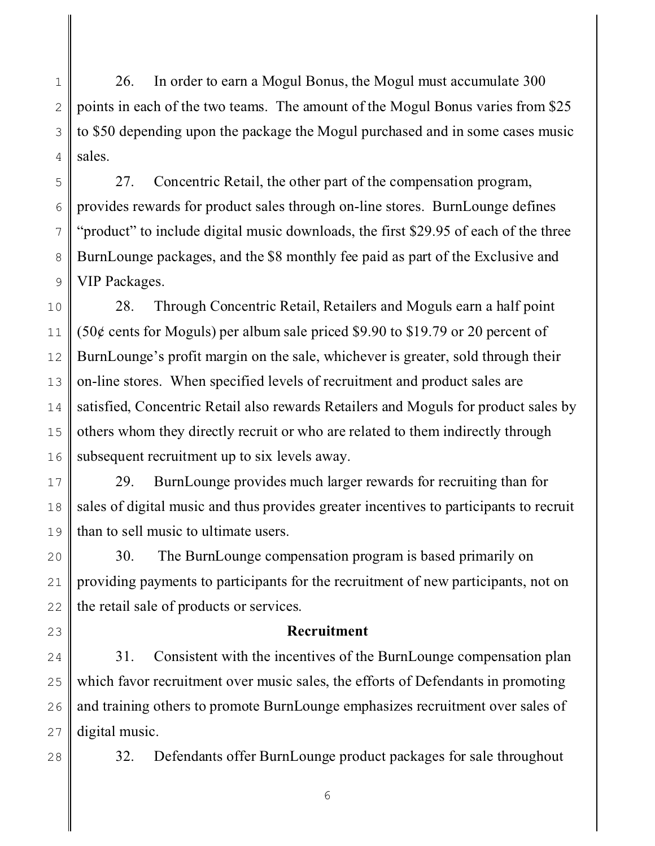1 2 3 4 26. In order to earn a Mogul Bonus, the Mogul must accumulate 300 points in each of the two teams. The amount of the Mogul Bonus varies from \$25 to \$50 depending upon the package the Mogul purchased and in some cases music sales.

27. Concentric Retail, the other part of the compensation program, provides rewards for product sales through on-line stores. BurnLounge defines "product" to include digital music downloads, the first \$29.95 of each of the three BurnLounge packages, and the \$8 monthly fee paid as part of the Exclusive and VIP Packages.

10 11 12 13 14 15 16 28. Through Concentric Retail, Retailers and Moguls earn a half point (50¢ cents for Moguls) per album sale priced \$9.90 to \$19.79 or 20 percent of BurnLounge's profit margin on the sale, whichever is greater, sold through their on-line stores. When specified levels of recruitment and product sales are satisfied, Concentric Retail also rewards Retailers and Moguls for product sales by others whom they directly recruit or who are related to them indirectly through subsequent recruitment up to six levels away.

17 18 19 29. BurnLounge provides much larger rewards for recruiting than for sales of digital music and thus provides greater incentives to participants to recruit than to sell music to ultimate users.

20 21 22 30. The BurnLounge compensation program is based primarily on providing payments to participants for the recruitment of new participants, not on the retail sale of products or services.

23

5

6

7

8

9

#### **Recruitment**

24 25 26 27 31. Consistent with the incentives of the BurnLounge compensation plan which favor recruitment over music sales, the efforts of Defendants in promoting and training others to promote BurnLounge emphasizes recruitment over sales of digital music.

28

32. Defendants offer BurnLounge product packages for sale throughout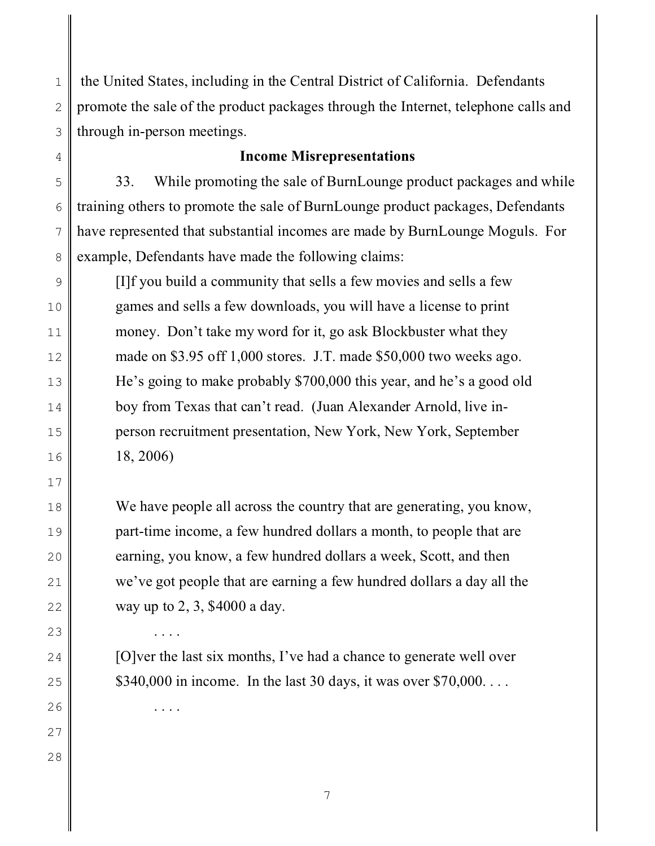1 2 3 the United States, including in the Central District of California. Defendants promote the sale of the product packages through the Internet, telephone calls and through in-person meetings.

#### **Income Misrepresentations**

33. While promoting the sale of BurnLounge product packages and while training others to promote the sale of BurnLounge product packages, Defendants have represented that substantial incomes are made by BurnLounge Moguls. For example, Defendants have made the following claims:

[I]f you build a community that sells a few movies and sells a few games and sells a few downloads, you will have a license to print money. Don't take my word for it, go ask Blockbuster what they made on \$3.95 off 1,000 stores. J.T. made \$50,000 two weeks ago. He's going to make probably \$700,000 this year, and he's a good old boy from Texas that can't read. (Juan Alexander Arnold, live inperson recruitment presentation, New York, New York, September 18, 2006)

We have people all across the country that are generating, you know, part-time income, a few hundred dollars a month, to people that are earning, you know, a few hundred dollars a week, Scott, and then we've got people that are earning a few hundred dollars a day all the way up to 2, 3, \$4000 a day.

[O]ver the last six months, I've had a chance to generate well over  $$340,000$  in income. In the last 30 days, it was over  $$70,000$ ...

4

5

6

7

8

9

10

11

12

13

14

15

16

17

18

19

20

21

22

. . . .

. . . .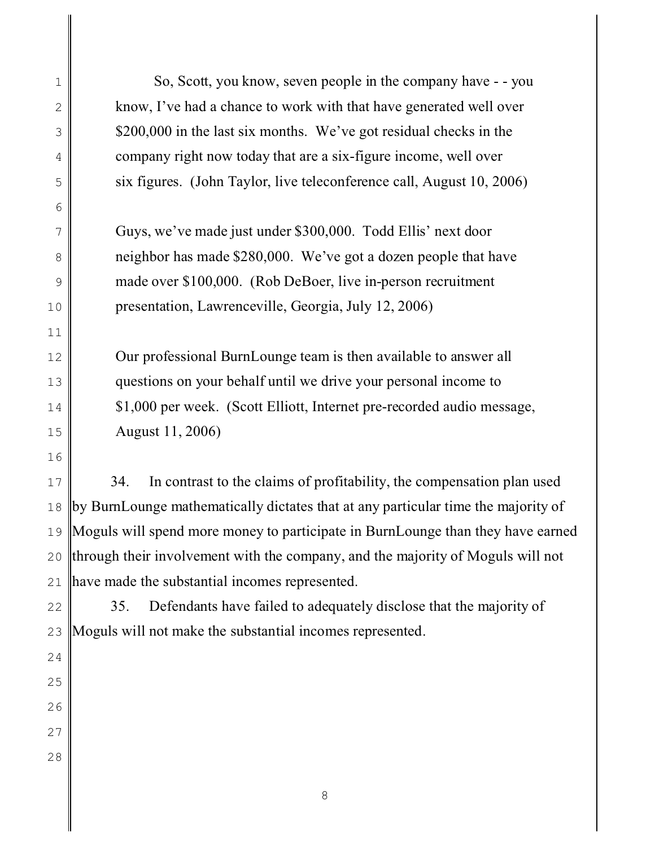| $\mathbf 1$    | So, Scott, you know, seven people in the company have - - you                     |  |  |
|----------------|-----------------------------------------------------------------------------------|--|--|
| 2              | know, I've had a chance to work with that have generated well over                |  |  |
| $\mathfrak{Z}$ | \$200,000 in the last six months. We've got residual checks in the                |  |  |
| 4              | company right now today that are a six-figure income, well over                   |  |  |
| 5              | six figures. (John Taylor, live teleconference call, August 10, 2006)             |  |  |
| $\sqrt{6}$     |                                                                                   |  |  |
| 7              | Guys, we've made just under \$300,000. Todd Ellis' next door                      |  |  |
| 8              | neighbor has made \$280,000. We've got a dozen people that have                   |  |  |
| $\mathcal{G}$  | made over \$100,000. (Rob DeBoer, live in-person recruitment                      |  |  |
| 10             | presentation, Lawrenceville, Georgia, July 12, 2006)                              |  |  |
| 11             |                                                                                   |  |  |
| 12             | Our professional BurnLounge team is then available to answer all                  |  |  |
| 13             | questions on your behalf until we drive your personal income to                   |  |  |
| 14             | \$1,000 per week. (Scott Elliott, Internet pre-recorded audio message,            |  |  |
| 15             | August 11, 2006)                                                                  |  |  |
| 16             |                                                                                   |  |  |
| 17             | In contrast to the claims of profitability, the compensation plan used<br>34.     |  |  |
| 18             | by BurnLounge mathematically dictates that at any particular time the majority of |  |  |
| 19             | Moguls will spend more money to participate in BurnLounge than they have earned   |  |  |
| 20             | through their involvement with the company, and the majority of Moguls will not   |  |  |
| 21             | have made the substantial incomes represented.                                    |  |  |
| 22             | Defendants have failed to adequately disclose that the majority of<br>35.         |  |  |
| 23             | Moguls will not make the substantial incomes represented.                         |  |  |
| 24             |                                                                                   |  |  |
| 25             |                                                                                   |  |  |
| 26             |                                                                                   |  |  |
| 27             |                                                                                   |  |  |
| 28             |                                                                                   |  |  |
|                |                                                                                   |  |  |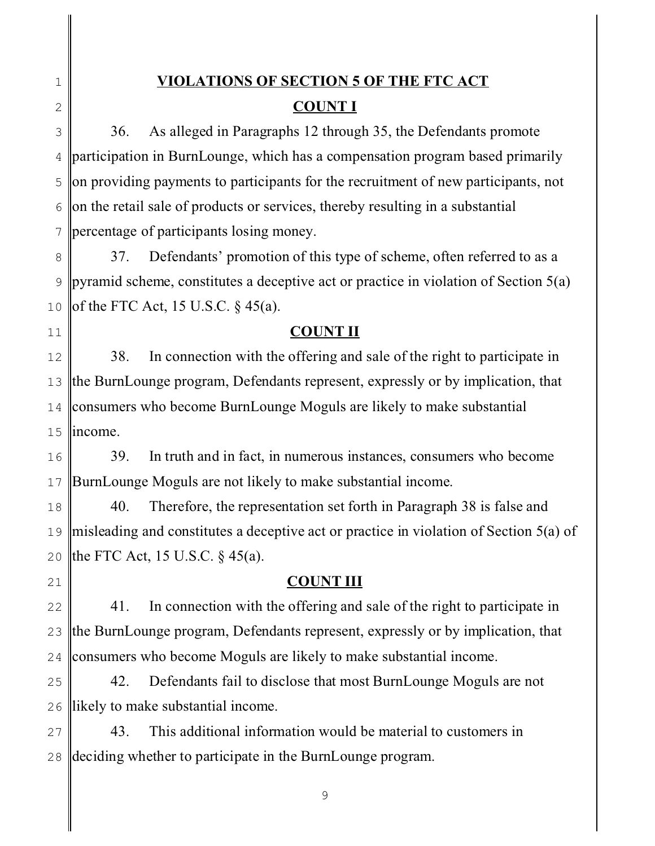1 2

11

# **VIOLATIONS OF SECTION 5 OF THE FTC ACT COUNT I**

3 4 5 6 7 36. As alleged in Paragraphs 12 through 35, the Defendants promote participation in BurnLounge, which has a compensation program based primarily on providing payments to participants for the recruitment of new participants, not on the retail sale of products or services, thereby resulting in a substantial percentage of participants losing money.

8 9 10 37. Defendants' promotion of this type of scheme, often referred to as a pyramid scheme, constitutes a deceptive act or practice in violation of Section 5(a) of the FTC Act, 15 U.S.C.  $\S$  45(a).

# **COUNT II**

12 13 14 15 38. In connection with the offering and sale of the right to participate in the BurnLounge program, Defendants represent, expressly or by implication, that consumers who become BurnLounge Moguls are likely to make substantial income.

16 17 39. In truth and in fact, in numerous instances, consumers who become BurnLounge Moguls are not likely to make substantial income.

18 19 20 40. Therefore, the representation set forth in Paragraph 38 is false and misleading and constitutes a deceptive act or practice in violation of Section 5(a) of the FTC Act, 15 U.S.C. § 45(a).

21

# **COUNT III**

22 23 24 41. In connection with the offering and sale of the right to participate in the BurnLounge program, Defendants represent, expressly or by implication, that consumers who become Moguls are likely to make substantial income.

25 26 42. Defendants fail to disclose that most BurnLounge Moguls are not likely to make substantial income.

27 28 43. This additional information would be material to customers in deciding whether to participate in the BurnLounge program.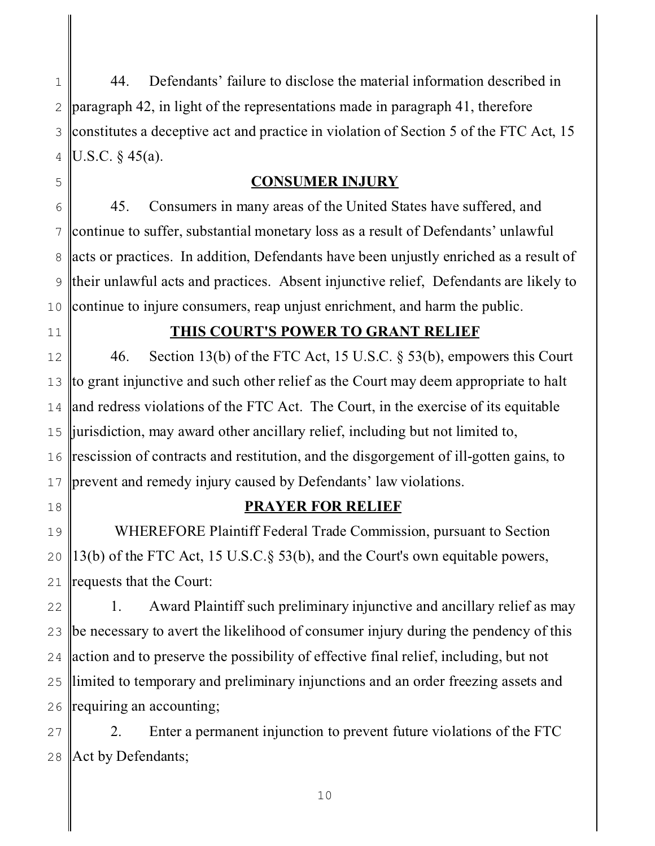1 2 3 4 44. Defendants' failure to disclose the material information described in paragraph 42, in light of the representations made in paragraph 41, therefore constitutes a deceptive act and practice in violation of Section 5 of the FTC Act, 15 U.S.C. § 45(a).

## **CONSUMER INJURY**

6 7 8 9 10 45. Consumers in many areas of the United States have suffered, and continue to suffer, substantial monetary loss as a result of Defendants' unlawful acts or practices. In addition, Defendants have been unjustly enriched as a result of their unlawful acts and practices. Absent injunctive relief, Defendants are likely to continue to injure consumers, reap unjust enrichment, and harm the public.

11

5

## **THIS COURT'S POWER TO GRANT RELIEF**

12 13 14 15 16 17 46. Section 13(b) of the FTC Act, 15 U.S.C. § 53(b), empowers this Court to grant injunctive and such other relief as the Court may deem appropriate to halt and redress violations of the FTC Act. The Court, in the exercise of its equitable jurisdiction, may award other ancillary relief, including but not limited to, rescission of contracts and restitution, and the disgorgement of ill-gotten gains, to prevent and remedy injury caused by Defendants' law violations.

18

# **PRAYER FOR RELIEF**

19 20 21 WHEREFORE Plaintiff Federal Trade Commission, pursuant to Section 13(b) of the FTC Act, 15 U.S.C.§ 53(b), and the Court's own equitable powers, requests that the Court:

22 23 24 25 26 1. Award Plaintiff such preliminary injunctive and ancillary relief as may be necessary to avert the likelihood of consumer injury during the pendency of this action and to preserve the possibility of effective final relief, including, but not limited to temporary and preliminary injunctions and an order freezing assets and requiring an accounting;

27 28 2. Enter a permanent injunction to prevent future violations of the FTC Act by Defendants;